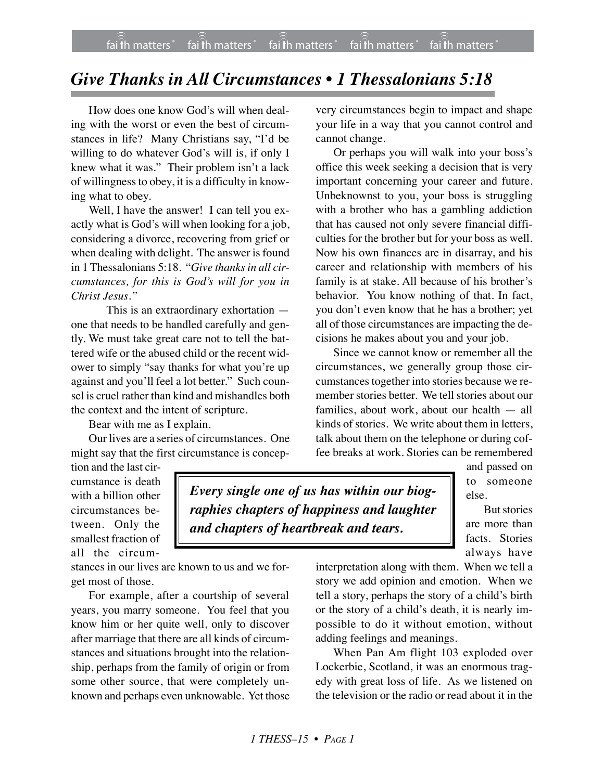## *Give Thanks in All Circumstances • 1 Thessalonians 5:18*

How does one know God's will when dealing with the worst or even the best of circumstances in life? Many Christians say, "I'd be willing to do whatever God's will is, if only I knew what it was." Their problem isn't a lack of willingness to obey, it is a difficulty in knowing what to obey.

Well, I have the answer! I can tell you exactly what is God's will when looking for a job, considering a divorce, recovering from grief or when dealing with delight. The answer is found in 1 Thessalonians 5:18. "*Give thanks in all circumstances, for this is God's will for you in Christ Jesus."*

This is an extraordinary exhortation one that needs to be handled carefully and gently. We must take great care not to tell the battered wife or the abused child or the recent widower to simply "say thanks for what you're up against and you'll feel a lot better." Such counsel is cruel rather than kind and mishandles both the context and the intent of scripture.

Bear with me as I explain.

Our lives are a series of circumstances. One might say that the first circumstance is concep-

very circumstances begin to impact and shape your life in a way that you cannot control and cannot change.

Or perhaps you will walk into your boss's office this week seeking a decision that is very important concerning your career and future. Unbeknownst to you, your boss is struggling with a brother who has a gambling addiction that has caused not only severe financial difficulties for the brother but for your boss as well. Now his own finances are in disarray, and his career and relationship with members of his family is at stake. All because of his brother's behavior. You know nothing of that. In fact, you don't even know that he has a brother; yet all of those circumstances are impacting the decisions he makes about you and your job.

Since we cannot know or remember all the circumstances, we generally group those circumstances together into stories because we remember stories better. We tell stories about our families, about work, about our health — all kinds of stories. We write about them in letters, talk about them on the telephone or during coffee breaks at work. Stories can be remembered

tion and the last circumstance is death with a billion other circumstances between. Only the smallest fraction of all the circum-

*Every single one of us has within our biographies chapters of happiness and laughter and chapters of heartbreak and tears.*

and passed on to someone else.

But stories are more than facts. Stories always have

stances in our lives are known to us and we forget most of those.

For example, after a courtship of several years, you marry someone. You feel that you know him or her quite well, only to discover after marriage that there are all kinds of circumstances and situations brought into the relationship, perhaps from the family of origin or from some other source, that were completely unknown and perhaps even unknowable. Yet those

interpretation along with them. When we tell a story we add opinion and emotion. When we tell a story, perhaps the story of a child's birth or the story of a child's death, it is nearly impossible to do it without emotion, without adding feelings and meanings.

When Pan Am flight 103 exploded over Lockerbie, Scotland, it was an enormous tragedy with great loss of life. As we listened on the television or the radio or read about it in the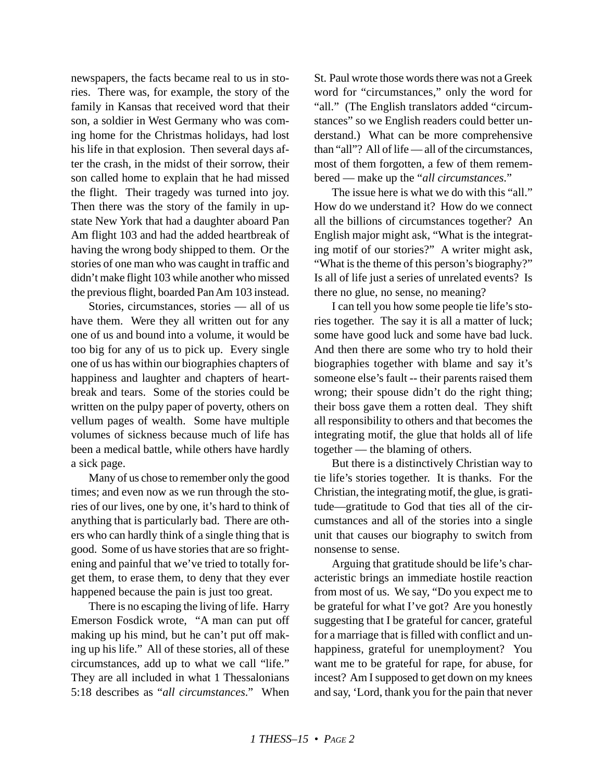newspapers, the facts became real to us in stories. There was, for example, the story of the family in Kansas that received word that their son, a soldier in West Germany who was coming home for the Christmas holidays, had lost his life in that explosion. Then several days after the crash, in the midst of their sorrow, their son called home to explain that he had missed the flight. Their tragedy was turned into joy. Then there was the story of the family in upstate New York that had a daughter aboard Pan Am flight 103 and had the added heartbreak of having the wrong body shipped to them. Or the stories of one man who was caught in traffic and didn't make flight 103 while another who missed the previous flight, boarded Pan Am 103 instead.

Stories, circumstances, stories — all of us have them. Were they all written out for any one of us and bound into a volume, it would be too big for any of us to pick up. Every single one of us has within our biographies chapters of happiness and laughter and chapters of heartbreak and tears. Some of the stories could be written on the pulpy paper of poverty, others on vellum pages of wealth. Some have multiple volumes of sickness because much of life has been a medical battle, while others have hardly a sick page.

Many of us chose to remember only the good times; and even now as we run through the stories of our lives, one by one, it's hard to think of anything that is particularly bad. There are others who can hardly think of a single thing that is good. Some of us have stories that are so frightening and painful that we've tried to totally forget them, to erase them, to deny that they ever happened because the pain is just too great.

There is no escaping the living of life. Harry Emerson Fosdick wrote, "A man can put off making up his mind, but he can't put off making up his life." All of these stories, all of these circumstances, add up to what we call "life." They are all included in what 1 Thessalonians 5:18 describes as "*all circumstances*." When

St. Paul wrote those words there was not a Greek word for "circumstances," only the word for "all." (The English translators added "circumstances" so we English readers could better understand.) What can be more comprehensive than "all"? All of life — all of the circumstances, most of them forgotten, a few of them remembered — make up the "*all circumstances*."

The issue here is what we do with this "all." How do we understand it? How do we connect all the billions of circumstances together? An English major might ask, "What is the integrating motif of our stories?" A writer might ask, "What is the theme of this person's biography?" Is all of life just a series of unrelated events? Is there no glue, no sense, no meaning?

I can tell you how some people tie life's stories together. The say it is all a matter of luck; some have good luck and some have bad luck. And then there are some who try to hold their biographies together with blame and say it's someone else's fault -- their parents raised them wrong; their spouse didn't do the right thing; their boss gave them a rotten deal. They shift all responsibility to others and that becomes the integrating motif, the glue that holds all of life together — the blaming of others.

But there is a distinctively Christian way to tie life's stories together. It is thanks. For the Christian, the integrating motif, the glue, is gratitude—gratitude to God that ties all of the circumstances and all of the stories into a single unit that causes our biography to switch from nonsense to sense.

Arguing that gratitude should be life's characteristic brings an immediate hostile reaction from most of us. We say, "Do you expect me to be grateful for what I've got? Are you honestly suggesting that I be grateful for cancer, grateful for a marriage that is filled with conflict and unhappiness, grateful for unemployment? You want me to be grateful for rape, for abuse, for incest? Am I supposed to get down on my knees and say, 'Lord, thank you for the pain that never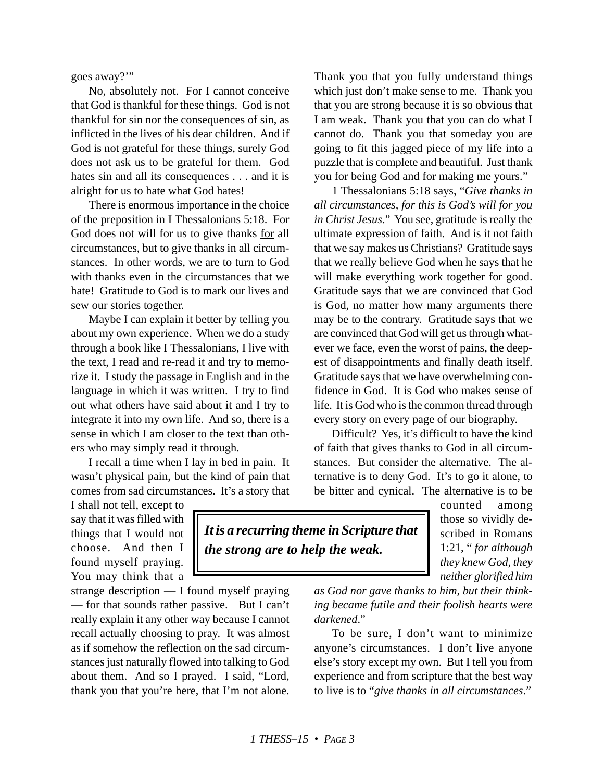goes away?'"

No, absolutely not. For I cannot conceive that God is thankful for these things. God is not thankful for sin nor the consequences of sin, as inflicted in the lives of his dear children. And if God is not grateful for these things, surely God does not ask us to be grateful for them. God hates sin and all its consequences . . . and it is alright for us to hate what God hates!

There is enormous importance in the choice of the preposition in I Thessalonians 5:18. For God does not will for us to give thanks for all circumstances, but to give thanks in all circumstances. In other words, we are to turn to God with thanks even in the circumstances that we hate! Gratitude to God is to mark our lives and sew our stories together.

Maybe I can explain it better by telling you about my own experience. When we do a study through a book like I Thessalonians, I live with the text, I read and re-read it and try to memorize it. I study the passage in English and in the language in which it was written. I try to find out what others have said about it and I try to integrate it into my own life. And so, there is a sense in which I am closer to the text than others who may simply read it through.

I recall a time when I lay in bed in pain. It wasn't physical pain, but the kind of pain that comes from sad circumstances. It's a story that

I shall not tell, except to say that it was filled with things that I would not choose. And then I found myself praying. You may think that a

strange description — I found myself praying — for that sounds rather passive. But I can't really explain it any other way because I cannot recall actually choosing to pray. It was almost as if somehow the reflection on the sad circumstances just naturally flowed into talking to God about them. And so I prayed. I said, "Lord, thank you that you're here, that I'm not alone.

Thank you that you fully understand things which just don't make sense to me. Thank you that you are strong because it is so obvious that I am weak. Thank you that you can do what I cannot do. Thank you that someday you are going to fit this jagged piece of my life into a puzzle that is complete and beautiful. Just thank you for being God and for making me yours."

1 Thessalonians 5:18 says, "*Give thanks in all circumstances, for this is God's will for you in Christ Jesus*." You see, gratitude is really the ultimate expression of faith. And is it not faith that we say makes us Christians? Gratitude says that we really believe God when he says that he will make everything work together for good. Gratitude says that we are convinced that God is God, no matter how many arguments there may be to the contrary. Gratitude says that we are convinced that God will get us through whatever we face, even the worst of pains, the deepest of disappointments and finally death itself. Gratitude says that we have overwhelming confidence in God. It is God who makes sense of life. It is God who is the common thread through every story on every page of our biography.

Difficult? Yes, it's difficult to have the kind of faith that gives thanks to God in all circumstances. But consider the alternative. The alternative is to deny God. It's to go it alone, to be bitter and cynical. The alternative is to be

> counted among those so vividly described in Romans 1:21, " *for although they knew God, they neither glorified him*

*It is a recurring theme in Scripture that the strong are to help the weak.*

> *as God nor gave thanks to him, but their thinking became futile and their foolish hearts were darkened*."

> To be sure, I don't want to minimize anyone's circumstances. I don't live anyone else's story except my own. But I tell you from experience and from scripture that the best way to live is to "*give thanks in all circumstances*."